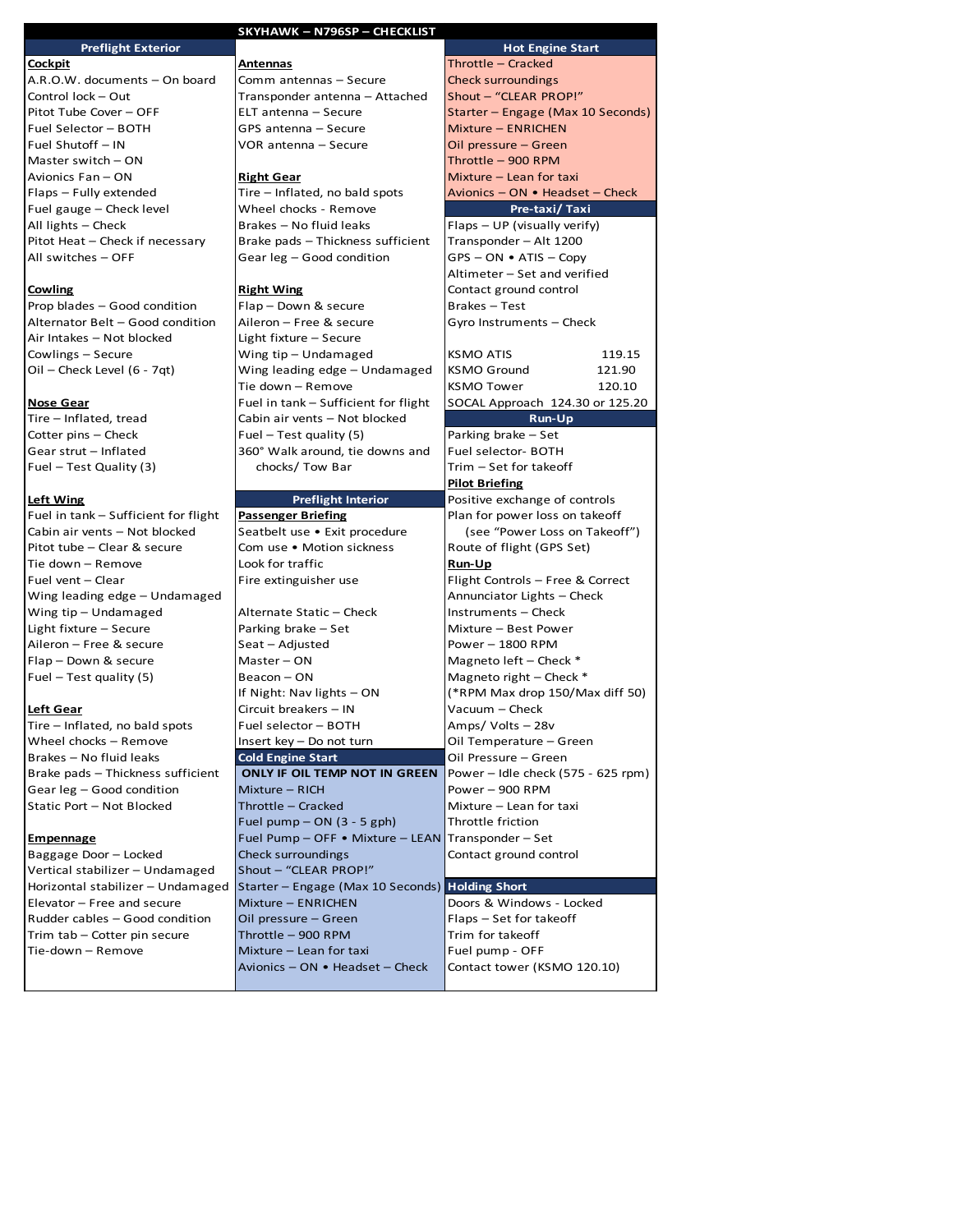| SKYHAWK - N796SP - CHECKLIST                                    |                                                                       |                                                  |  |
|-----------------------------------------------------------------|-----------------------------------------------------------------------|--------------------------------------------------|--|
| <b>Preflight Exterior</b>                                       |                                                                       | <b>Hot Engine Start</b>                          |  |
| <u>Cockpit</u>                                                  | <u>Antennas</u>                                                       | Throttle - Cracked                               |  |
| A.R.O.W. documents - On board                                   | Comm antennas - Secure                                                | <b>Check surroundings</b>                        |  |
| Control lock - Out                                              | Transponder antenna - Attached                                        | Shout - "CLEAR PROP!"                            |  |
| Pitot Tube Cover - OFF                                          | ELT antenna - Secure                                                  | Starter - Engage (Max 10 Seconds)                |  |
| Fuel Selector - BOTH                                            | GPS antenna - Secure                                                  | Mixture - ENRICHEN                               |  |
| Fuel Shutoff - IN                                               | VOR antenna – Secure                                                  | Oil pressure - Green                             |  |
| Master switch - ON                                              |                                                                       | Throttle - 900 RPM                               |  |
| Avionics Fan - ON                                               | <b>Right Gear</b>                                                     | Mixture - Lean for taxi                          |  |
| Flaps - Fully extended                                          | Tire – Inflated, no bald spots                                        | Avionics - ON • Headset - Check                  |  |
| Fuel gauge - Check level                                        | Wheel chocks - Remove                                                 | Pre-taxi/Taxi                                    |  |
| All lights - Check                                              | Brakes - No fluid leaks                                               | Flaps - UP (visually verify)                     |  |
| Pitot Heat - Check if necessary                                 | Brake pads - Thickness sufficient                                     | Transponder - Alt 1200                           |  |
| All switches - OFF                                              | Gear leg – Good condition                                             | GPS-ON • ATIS-Copy                               |  |
|                                                                 |                                                                       | Altimeter – Set and verified                     |  |
| Cowling                                                         | <u>Right Wing</u>                                                     | Contact ground control                           |  |
| Prop blades - Good condition                                    | Flap - Down & secure                                                  | Brakes – Test                                    |  |
| Alternator Belt - Good condition                                | Aileron – Free & secure                                               | Gyro Instruments – Check                         |  |
| Air Intakes - Not blocked                                       | Light fixture - Secure                                                |                                                  |  |
| Cowlings - Secure                                               | Wing tip - Undamaged                                                  | <b>KSMO ATIS</b><br>119.15                       |  |
| Oil – Check Level (6 - 7qt)                                     | Wing leading edge - Undamaged                                         | <b>KSMO Ground</b><br>121.90                     |  |
|                                                                 | Tie down - Remove                                                     | <b>KSMO Tower</b><br>120.10                      |  |
| <u>Nose Gear</u>                                                | Fuel in tank - Sufficient for flight                                  | SOCAL Approach 124.30 or 125.20<br><b>Run-Up</b> |  |
| Tire - Inflated, tread<br>Cotter pins - Check                   | Cabin air vents - Not blocked                                         |                                                  |  |
| Gear strut - Inflated                                           | Fuel – Test quality (5)<br>360° Walk around, tie downs and            | Parking brake - Set<br>Fuel selector- BOTH       |  |
| Fuel - Test Quality (3)                                         | chocks/ Tow Bar                                                       | Trim – Set for takeoff                           |  |
|                                                                 |                                                                       | <b>Pilot Briefing</b>                            |  |
| <b>Left Wing</b>                                                | <b>Preflight Interior</b>                                             | Positive exchange of controls                    |  |
| Fuel in tank – Sufficient for flight                            | <b>Passenger Briefing</b>                                             | Plan for power loss on takeoff                   |  |
| Cabin air vents - Not blocked                                   | Seatbelt use • Exit procedure                                         | (see "Power Loss on Takeoff")                    |  |
| Pitot tube - Clear & secure                                     | Com use . Motion sickness                                             | Route of flight (GPS Set)                        |  |
| Tie down - Remove                                               | Look for traffic                                                      | <u>Run-Up</u>                                    |  |
| Fuel vent - Clear                                               | Fire extinguisher use                                                 | Flight Controls - Free & Correct                 |  |
| Wing leading edge - Undamaged                                   |                                                                       | Annunciator Lights - Check                       |  |
| Wing tip - Undamaged                                            | Alternate Static - Check                                              | Instruments - Check                              |  |
| Light fixture - Secure                                          | Parking brake - Set                                                   | Mixture - Best Power                             |  |
| Aileron - Free & secure                                         | Seat - Adjusted                                                       | Power - 1800 RPM                                 |  |
| Flap - Down & secure                                            | Master-ON                                                             | Magneto left - Check $*$                         |  |
| Fuel $-$ Test quality (5)                                       | Beacon - ON                                                           | Magneto right - Check *                          |  |
|                                                                 | If Night: Nav lights - ON                                             | (*RPM Max drop 150/Max diff 50)                  |  |
| Left Gear                                                       | Circuit breakers - IN                                                 | Vacuum – Check                                   |  |
| Tire - Inflated, no bald spots                                  | Fuel selector - BOTH                                                  | Amps/Volts – 28v                                 |  |
| Wheel chocks - Remove                                           | Insert key - Do not turn                                              | Oil Temperature – Green                          |  |
| Brakes - No fluid leaks                                         | <b>Cold Engine Start</b>                                              | Oil Pressure - Green                             |  |
| Brake pads - Thickness sufficient                               | ONLY IF OIL TEMP NOT IN GREEN                                         | Power – Idle check (575 - 625 rpm)               |  |
| Gear leg - Good condition                                       | Mixture - RICH                                                        | Power - 900 RPM                                  |  |
| Static Port - Not Blocked                                       | Throttle - Cracked                                                    | Mixture - Lean for taxi                          |  |
|                                                                 | Fuel pump $-$ ON (3 - 5 gph)                                          | Throttle friction                                |  |
| <b>Empennage</b>                                                | Fuel Pump - OFF • Mixture - LEAN Transponder - Set                    |                                                  |  |
| Baggage Door - Locked                                           | Check surroundings                                                    | Contact ground control                           |  |
| Vertical stabilizer - Undamaged                                 | Shout - "CLEAR PROP!"                                                 |                                                  |  |
| Horizontal stabilizer - Undamaged<br>Elevator - Free and secure | Starter - Engage (Max 10 Seconds) Holding Short<br>Mixture - ENRICHEN | Doors & Windows - Locked                         |  |
| Rudder cables - Good condition                                  | Oil pressure - Green                                                  | Flaps - Set for takeoff                          |  |
| Trim tab - Cotter pin secure                                    | Throttle - 900 RPM                                                    | Trim for takeoff                                 |  |
| Tie-down - Remove                                               | Mixture - Lean for taxi                                               | Fuel pump - OFF                                  |  |
|                                                                 | Avionics - ON • Headset - Check                                       | Contact tower (KSMO 120.10)                      |  |
|                                                                 |                                                                       |                                                  |  |